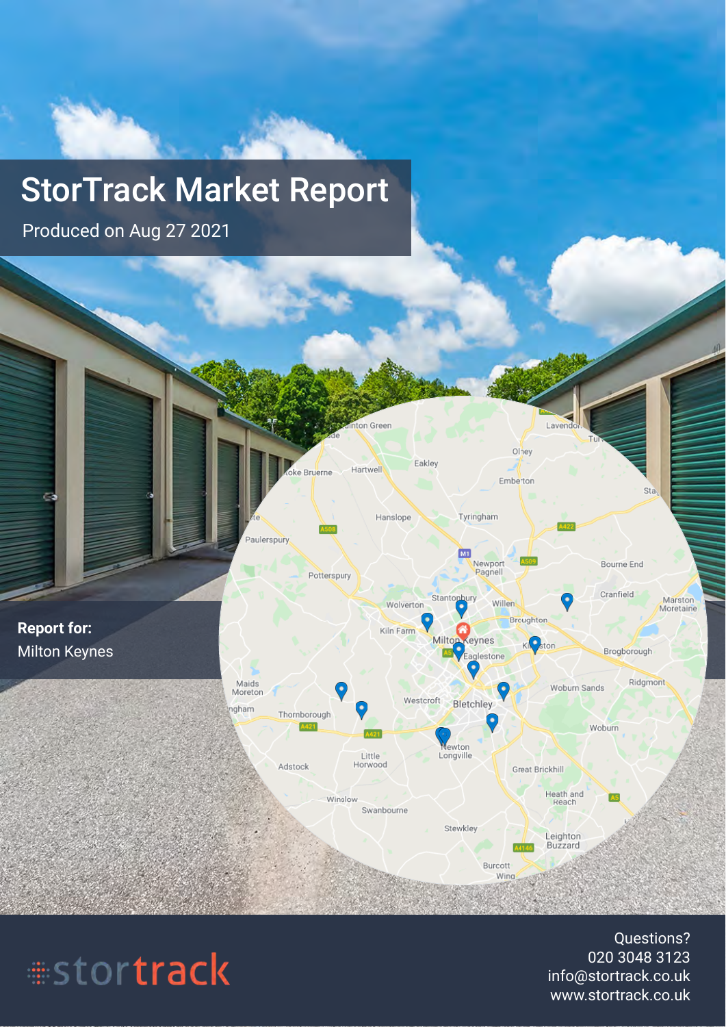# StorTrack Market Report

Produced on Aug 27 2021



# #stortrack

Questions? 020 3048 3123 info@stortrack.co.uk www.stortrack.co.uk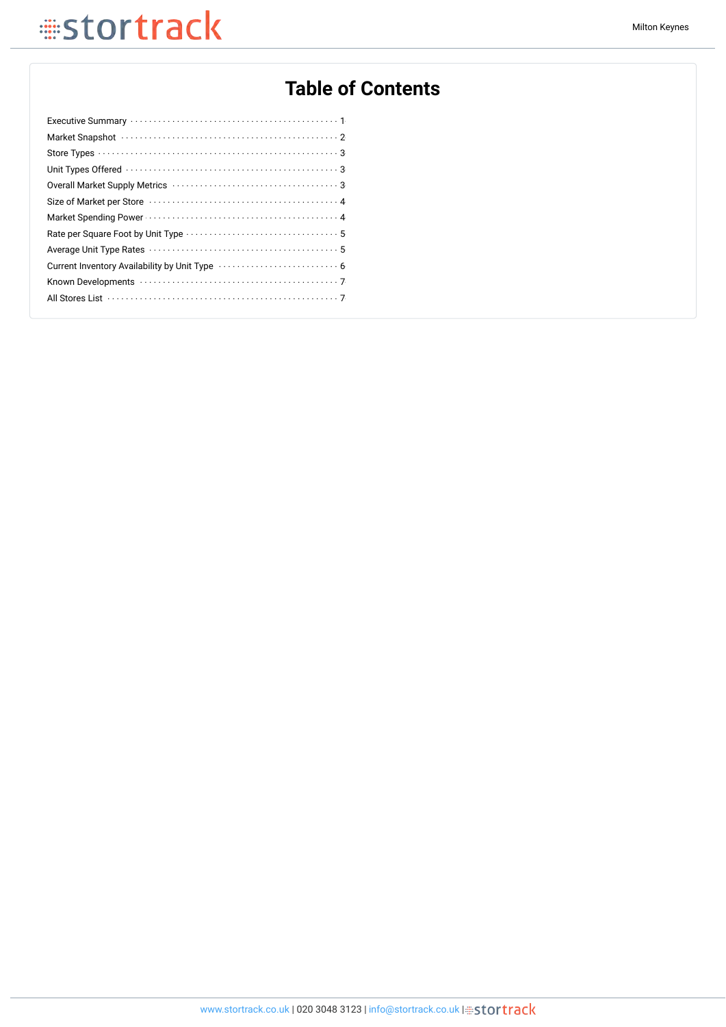## **Table of Contents**

| Market Snapshot (and the contract of the contract of the contract of the contract of the contract of the contract of the contract of the contract of the contract of the contract of the contract of the contract of the contr |
|--------------------------------------------------------------------------------------------------------------------------------------------------------------------------------------------------------------------------------|
|                                                                                                                                                                                                                                |
|                                                                                                                                                                                                                                |
|                                                                                                                                                                                                                                |
|                                                                                                                                                                                                                                |
|                                                                                                                                                                                                                                |
|                                                                                                                                                                                                                                |
|                                                                                                                                                                                                                                |
|                                                                                                                                                                                                                                |
|                                                                                                                                                                                                                                |
|                                                                                                                                                                                                                                |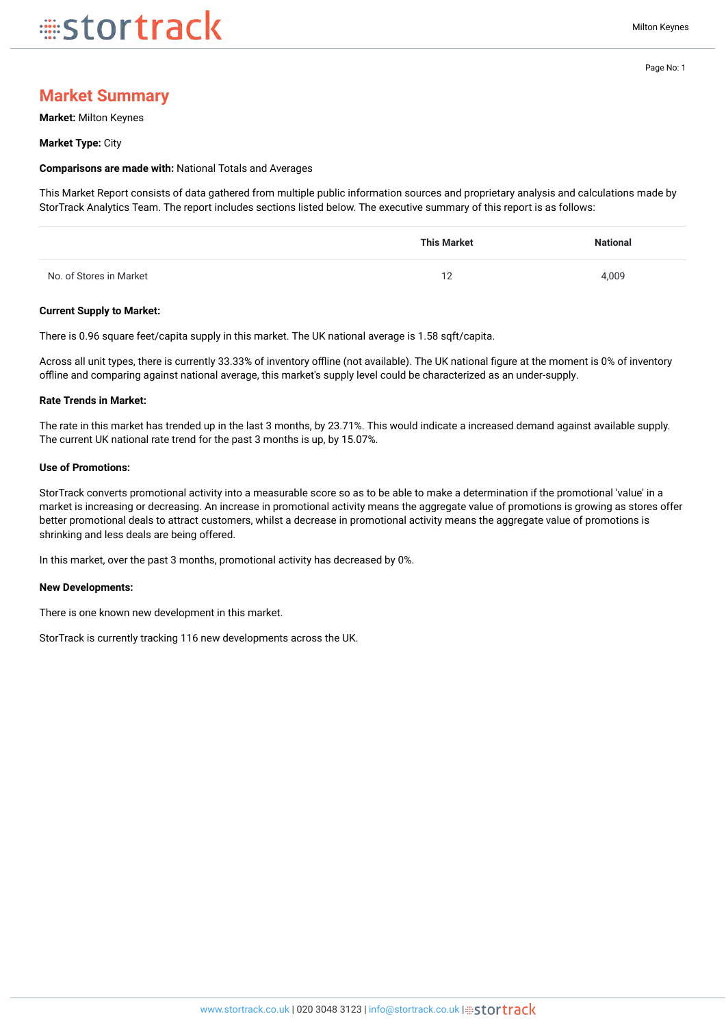## **Market Summary**

**Market:** Milton Keynes

#### **Market Type:** City

#### **Comparisons are made with:** National Totals and Averages

This Market Report consists of data gathered from multiple public information sources and proprietary analysis and calculations made by StorTrack Analytics Team. The report includes sections listed below. The executive summary of this report is as follows:

|                         | <b>This Market</b> | <b>National</b> |
|-------------------------|--------------------|-----------------|
| No. of Stores in Market | 10<br>. <u>.</u>   | 4,009           |

#### **Current Supply to Market:**

There is 0.96 square feet/capita supply in this market. The UK national average is 1.58 sqft/capita.

Across all unit types, there is currently 33.33% of inventory offline (not available). The UK national figure at the moment is 0% of inventory offline and comparing against national average, this market's supply level could be characterized as an under-supply.

#### **Rate Trends in Market:**

The rate in this market has trended up in the last 3 months, by 23.71%. This would indicate a increased demand against available supply. The current UK national rate trend for the past 3 months is up, by 15.07%.

#### **Use of Promotions:**

StorTrack converts promotional activity into a measurable score so as to be able to make a determination if the promotional 'value' in a market is increasing or decreasing. An increase in promotional activity means the aggregate value of promotions is growing as stores offer better promotional deals to attract customers, whilst a decrease in promotional activity means the aggregate value of promotions is shrinking and less deals are being offered.

In this market, over the past 3 months, promotional activity has decreased by 0%.

#### **New Developments:**

There is one known new development in this market.

StorTrack is currently tracking 116 new developments across the UK.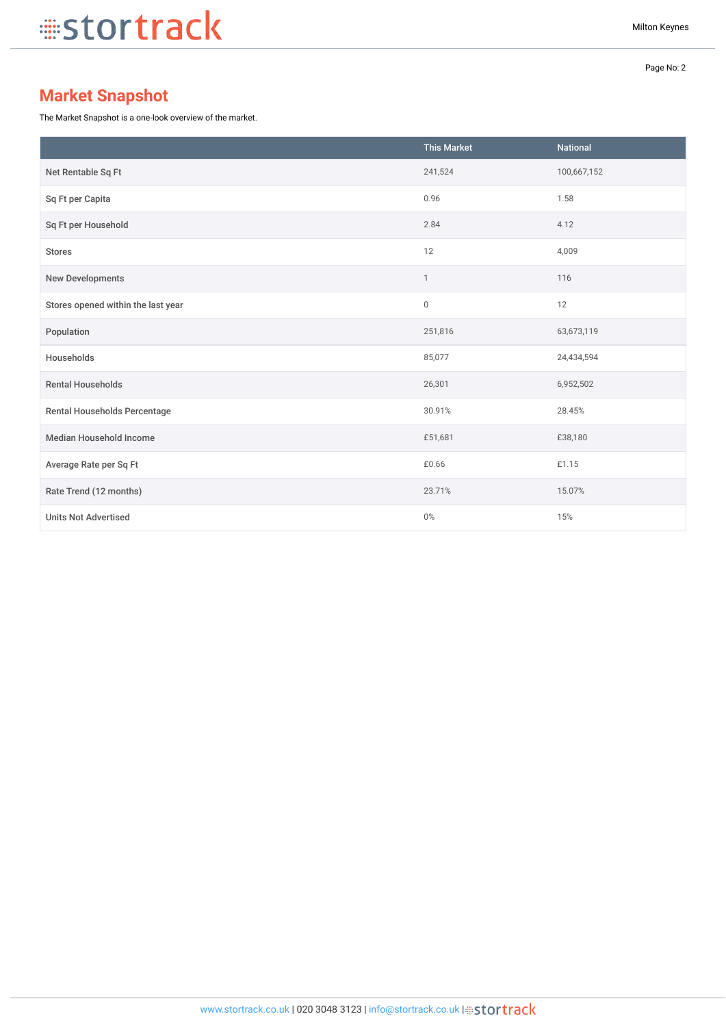Page No: 2

## **Market Snapshot**

The Market Snapshot is a one-look overview of the market.

|                                    | <b>This Market</b> | <b>National</b> |
|------------------------------------|--------------------|-----------------|
| Net Rentable Sq Ft                 | 241,524            | 100,667,152     |
| Sq Ft per Capita                   | 0.96               | 1.58            |
| Sq Ft per Household                | 2.84               | 4.12            |
| <b>Stores</b>                      | 12                 | 4,009           |
| New Developments                   | $\mathbf{1}$       | 116             |
| Stores opened within the last year | $\mathbb O$        | 12              |
| Population                         | 251,816            | 63,673,119      |
| Households                         | 85,077             | 24,434,594      |
| <b>Rental Households</b>           | 26,301             | 6,952,502       |
| Rental Households Percentage       | 30.91%             | 28.45%          |
| <b>Median Household Income</b>     | £51,681            | £38,180         |
| Average Rate per Sq Ft             | £0.66              | £1.15           |
| Rate Trend (12 months)             | 23.71%             | 15.07%          |
| <b>Units Not Advertised</b>        | $0\%$              | 15%             |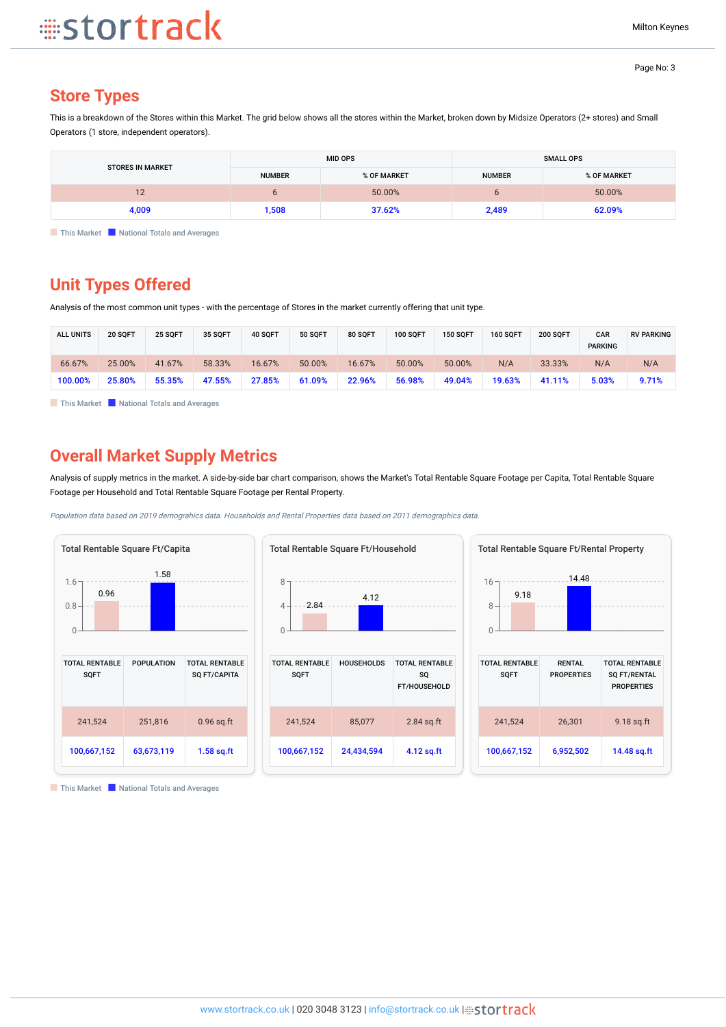### **Store Types**

This is a breakdown of the Stores within this Market. The grid below shows all the stores within the Market, broken down by Midsize Operators (2+ stores) and Small Operators (1 store, independent operators).

| <b>STORES IN MARKET</b> |               | <b>MID OPS</b> |               | <b>SMALL OPS</b> |
|-------------------------|---------------|----------------|---------------|------------------|
|                         | <b>NUMBER</b> | % OF MARKET    | <b>NUMBER</b> | % OF MARKET      |
| 1 <sub>0</sub><br>╹     |               | 50.00%         |               | 50.00%           |
| 4,009                   | 1,508         | 37.62%         | 2,489         | 62.09%           |

**This Market National Totals and Averages** 

### **Unit Types Offered**

Analysis of the most common unit types - with the percentage of Stores in the market currently offering that unit type.

| <b>ALL UNITS</b> | 20 SQFT | 25 SOFT | 35 SOFT | 40 SOFT | <b>50 SOFT</b> | 80 SQFT | <b>100 SOFT</b> | <b>150 SOFT</b> | 160 SOFT | <b>200 SOFT</b> | CAR<br><b>PARKING</b> | <b>RV PARKING</b> |
|------------------|---------|---------|---------|---------|----------------|---------|-----------------|-----------------|----------|-----------------|-----------------------|-------------------|
| 66.67%           | 25.00%  | 41.67%  | 58.33%  | 16.67%  | 50.00%         | 16.67%  | 50.00%          | 50.00%          | N/A      | 33.33%          | N/A                   | N/A               |
| 100.00%          | 25.80%  | 55.35%  | 47.55%  | 27.85%  | 61.09%         | 22.96%  | 56.98%          | 49.04%          | 19.63%   | 41.11%          | 5.03%                 | 9.71%             |

**This Market National Totals and Averages** 

### **Overall Market Supply Metrics**

Analysis of supply metrics in the market. A side-by-side bar chart comparison, shows the Market's Total Rentable Square Footage per Capita, Total Rentable Square Footage per Household and Total Rentable Square Footage per Rental Property.

Population data based on 2019 demograhics data. Households and Rental Properties data based on 2011 demographics data.





| <b>SOFT</b> |            | so<br><b>FT/HOUSEHOLD</b> |
|-------------|------------|---------------------------|
| 241,524     | 85,077     | $2.84$ sq.ft              |
| 100,667,152 | 24,434,594 | $4.12$ sq.ft              |

| <b>Total Rentable Square Ft/Rental Property</b> |                                    |                                                                   |
|-------------------------------------------------|------------------------------------|-------------------------------------------------------------------|
| $16 -$<br>9.18<br>8                             | 14.48                              |                                                                   |
| <b>TOTAL RENTABLE</b><br><b>SQFT</b>            | <b>RENTAL</b><br><b>PROPERTIES</b> | <b>TOTAL RENTABLE</b><br><b>SQ FT/RENTAL</b><br><b>PROPERTIES</b> |
| 241,524                                         | 26,301                             | $9.18$ sq.ft                                                      |
| 100,667,152                                     | 6,952,502                          | 14.48 sq.ft                                                       |

**National This Market National Totals and Averages**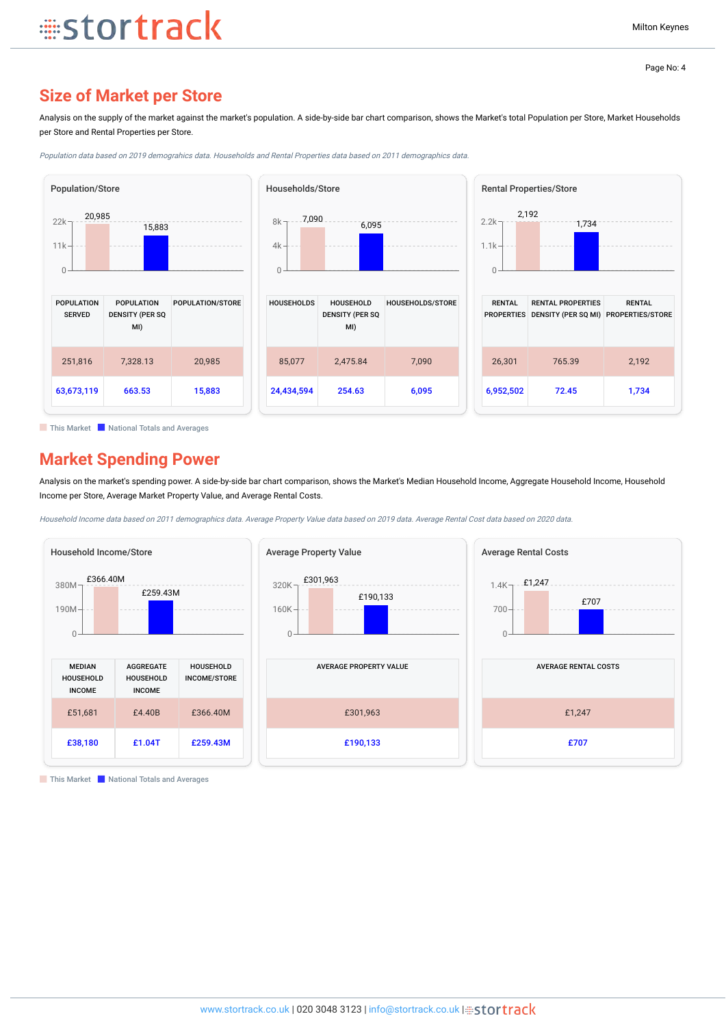### **Size of Market per Store**

**stortrack** 

Analysis on the supply of the market against the market's population. A side-by-side bar chart comparison, shows the Market's total Population per Store, Market Households per Store and Rental Properties per Store.



Population data based on 2019 demograhics data. Households and Rental Properties data based on 2011 demographics data.

**This Market National Totals and Averages** 

### **Market Spending Power**

Analysis on the market's spending power. A side-by-side bar chart comparison, shows the Market's Median Household Income, Aggregate Household Income, Household Income per Store, Average Market Property Value, and Average Rental Costs.

Household Income data based on 2011 demographics data. Average Property Value data based on 2019 data. Average Rental Cost data based on 2020 data.



**This Market National Totals and Averages**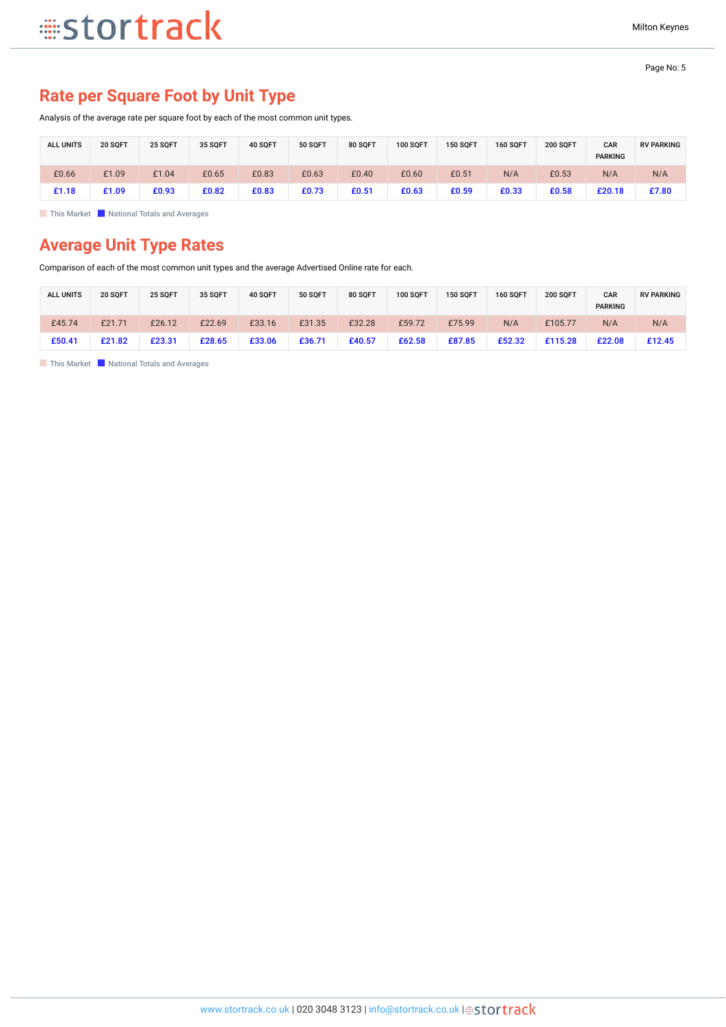## **Rate per Square Foot by Unit Type**

Analysis of the average rate per square foot by each of the most common unit types.

| <b>ALL UNITS</b> | 20 SQFT | 25 SQFT | 35 SQFT | 40 SQFT | 50 SQFT | <b>80 SQFT</b> | <b>100 SQFT</b> | <b>150 SQFT</b> | <b>160 SOFT</b> | <b>200 SOFT</b> | CAR<br><b>PARKING</b> | <b>RV PARKING</b> |
|------------------|---------|---------|---------|---------|---------|----------------|-----------------|-----------------|-----------------|-----------------|-----------------------|-------------------|
| £0.66            | £1.09   | £1.04   | £0.65   | £0.83   | £0.63   | £0.40          | £0.60           | £0.51           | N/A             | £0.53           | N/A                   | N/A               |
| £1.18            | £1.09   | £0.93   | £0.82   | £0.83   | £0.73   | £0.51          | £0.63           | £0.59           | £0.33           | £0.58           | £20.18                | £7.80             |

**This Market National Totals and Averages** 

## **Average Unit Type Rates**

Comparison of each of the most common unit types and the average Advertised Online rate for each.

| <b>ALL UNITS</b> | <b>20 SOFT</b> | 25 SOFT | 35 SQFT | 40 SOFT | <b>50 SOFT</b> | 80 SOFT | 100 SQFT | <b>150 SOFT</b> | <b>160 SOFT</b> | <b>200 SOFT</b> | CAR<br><b>PARKING</b> | <b>RV PARKING</b> |
|------------------|----------------|---------|---------|---------|----------------|---------|----------|-----------------|-----------------|-----------------|-----------------------|-------------------|
| £45.74           | £21.71         | £26.12  | £22.69  | £33.16  | £31.35         | £32.28  | £59.72   | £75.99          | N/A             | £105.77         | N/A                   | N/A               |
| £50.41           | £21.82         | £23.31  | £28.65  | £33.06  | £36.71         | £40.57  | £62.58   | £87.85          | £52.32          | £115.28         | £22.08                | £12.45            |

**This Market National Totals and Averages**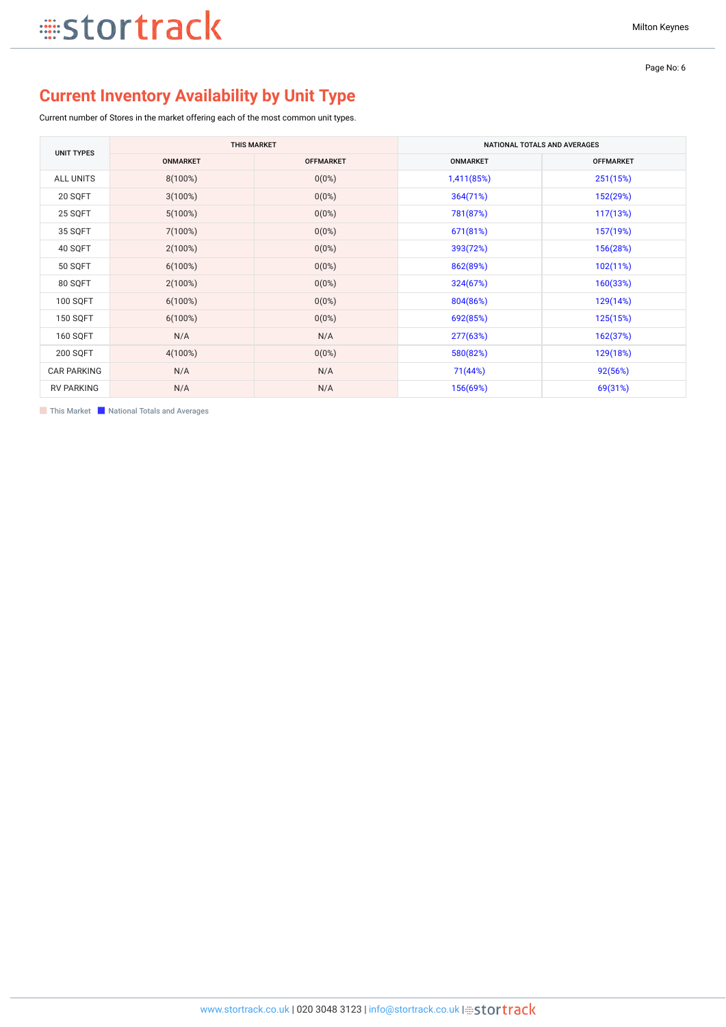Page No: 6

## **Current Inventory Availability by Unit Type**

Current number of Stores in the market offering each of the most common unit types.

| <b>UNIT TYPES</b>  | <b>THIS MARKET</b> |                  |                 | NATIONAL TOTALS AND AVERAGES |
|--------------------|--------------------|------------------|-----------------|------------------------------|
|                    | <b>ONMARKET</b>    | <b>OFFMARKET</b> | <b>ONMARKET</b> | <b>OFFMARKET</b>             |
| <b>ALL UNITS</b>   | $8(100\%)$         | $0(0\%)$         | 1,411(85%)      | 251(15%)                     |
| 20 SQFT            | $3(100\%)$         | $0(0\%)$         | 364(71%)        | 152(29%)                     |
| 25 SQFT            | $5(100\%)$         | $0(0\%)$         | 781(87%)        | 117(13%)                     |
| 35 SQFT            | 7(100%)            | 0(0%)            | 671(81%)        | 157(19%)                     |
| 40 SQFT            | $2(100\%)$         | 0(0%)            | 393(72%)        | 156(28%)                     |
| 50 SQFT            | 6(100%)            | 0(0%)            | 862(89%)        | 102(11%)                     |
| 80 SQFT            | $2(100\%)$         | $0(0\%)$         | 324(67%)        | 160(33%)                     |
| <b>100 SQFT</b>    | 6(100%)            | 0(0%)            | 804(86%)        | 129(14%)                     |
| <b>150 SQFT</b>    | $6(100\%)$         | $0(0\%)$         | 692(85%)        | 125(15%)                     |
| <b>160 SQFT</b>    | N/A                | N/A              | 277(63%)        | 162(37%)                     |
| 200 SQFT           | $4(100\%)$         | $0(0\%)$         | 580(82%)        | 129(18%)                     |
| <b>CAR PARKING</b> | N/A                | N/A              | 71(44%)         | 92(56%)                      |
| <b>RV PARKING</b>  | N/A                | N/A              | 156(69%)        | 69(31%)                      |

**This Market National Totals and Averages**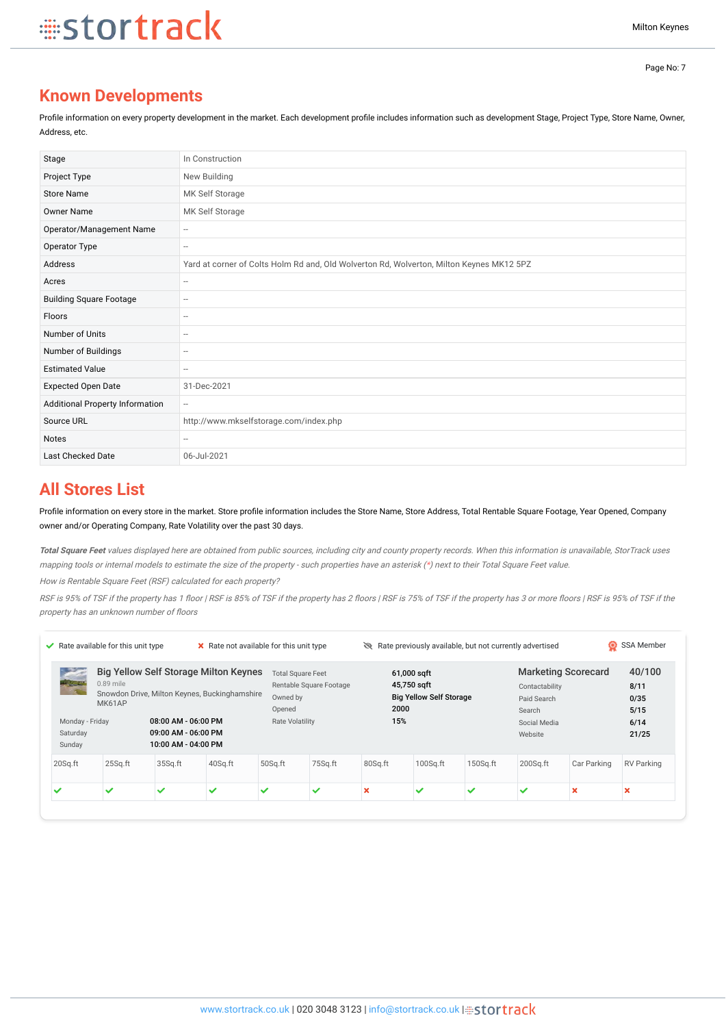## **Known Developments**

Profile information on every property development in the market. Each development profile includes information such as development Stage, Project Type, Store Name, Owner, Address, etc.

| Stage                           | In Construction                                                                          |
|---------------------------------|------------------------------------------------------------------------------------------|
| Project Type                    | New Building                                                                             |
| <b>Store Name</b>               | MK Self Storage                                                                          |
| <b>Owner Name</b>               | MK Self Storage                                                                          |
| Operator/Management Name        | $\hspace{0.05cm} \ldots$                                                                 |
| Operator Type                   | $\hspace{0.05cm}$                                                                        |
| Address                         | Yard at corner of Colts Holm Rd and, Old Wolverton Rd, Wolverton, Milton Keynes MK12 5PZ |
| Acres                           | $\hspace{0.05cm}$                                                                        |
| <b>Building Square Footage</b>  | $\hspace{0.05cm}$                                                                        |
| Floors                          | --                                                                                       |
| Number of Units                 | $\hspace{0.05cm}$                                                                        |
| Number of Buildings             | $\hspace{0.05cm}$                                                                        |
| <b>Estimated Value</b>          | $\hspace{0.05cm}$                                                                        |
| <b>Expected Open Date</b>       | 31-Dec-2021                                                                              |
| Additional Property Information | $\hspace{0.05cm} -$                                                                      |
| Source URL                      | http://www.mkselfstorage.com/index.php                                                   |
| <b>Notes</b>                    | --                                                                                       |
| Last Checked Date               | 06-Jul-2021                                                                              |

### **All Stores List**

Profile information on every store in the market. Store profile information includes the Store Name, Store Address, Total Rentable Square Footage, Year Opened, Company owner and/or Operating Company, Rate Volatility over the past 30 days.

**Total Square Feet** values displayed here are obtained from public sources, including city and county property records. When this information is unavailable, StorTrack uses mapping tools or internal models to estimate the size of the property - such properties have an asterisk (\*) next to their Total Square Feet value.

How is Rentable Square Feet (RSF) calculated for each property?

RSF is 95% of TSF if the property has 1 floor | RSF is 85% of TSF if the property has 2 floors | RSF is fthe property has 3 or more floors | RSF is 95% of TSF if the property has an unknown number of floors

|                                      | $\blacktriangleright$ Rate available for this unit type |                                                                       |                                                                                               |                                                                          | Rate previously available, but not currently advertised<br>X Rate not available for this unit type |             |                                                              |              |                                                                    | О                          |                                                 |  |
|--------------------------------------|---------------------------------------------------------|-----------------------------------------------------------------------|-----------------------------------------------------------------------------------------------|--------------------------------------------------------------------------|----------------------------------------------------------------------------------------------------|-------------|--------------------------------------------------------------|--------------|--------------------------------------------------------------------|----------------------------|-------------------------------------------------|--|
| <b>Provide</b><br>Saturday<br>Sunday | $0.89$ mile<br><b>MK61AP</b><br>Monday - Friday         | 08:00 AM - 06:00 PM<br>$09:00$ AM - $06:00$ PM<br>10:00 AM - 04:00 PM | <b>Big Yellow Self Storage Milton Keynes</b><br>Snowdon Drive, Milton Keynes, Buckinghamshire | <b>Total Square Feet</b><br>Owned by<br>Opened<br><b>Rate Volatility</b> | Rentable Square Footage                                                                            | 2000<br>15% | 61,000 sqft<br>45,750 sqft<br><b>Big Yellow Self Storage</b> |              | Contactability<br>Paid Search<br>Search<br>Social Media<br>Website | <b>Marketing Scorecard</b> | 40/100<br>8/11<br>0/35<br>5/15<br>6/14<br>21/25 |  |
| 20Sq.ft                              | $25$ Sq.ft                                              | 35Sq.ft                                                               | 40Sq.ft                                                                                       | 50Sq.ft                                                                  | 75Sq.ft                                                                                            | 80Sq.ft     | $100$ Sq.ft                                                  | $150$ Sq.ft  | $200$ Sq.ft                                                        | Car Parking                | <b>RV Parking</b>                               |  |
| ✓                                    | ✓                                                       | $\checkmark$                                                          | ✓                                                                                             | ✓                                                                        | ✓                                                                                                  | ×           | $\checkmark$                                                 | $\checkmark$ | $\checkmark$                                                       | ×                          | ×                                               |  |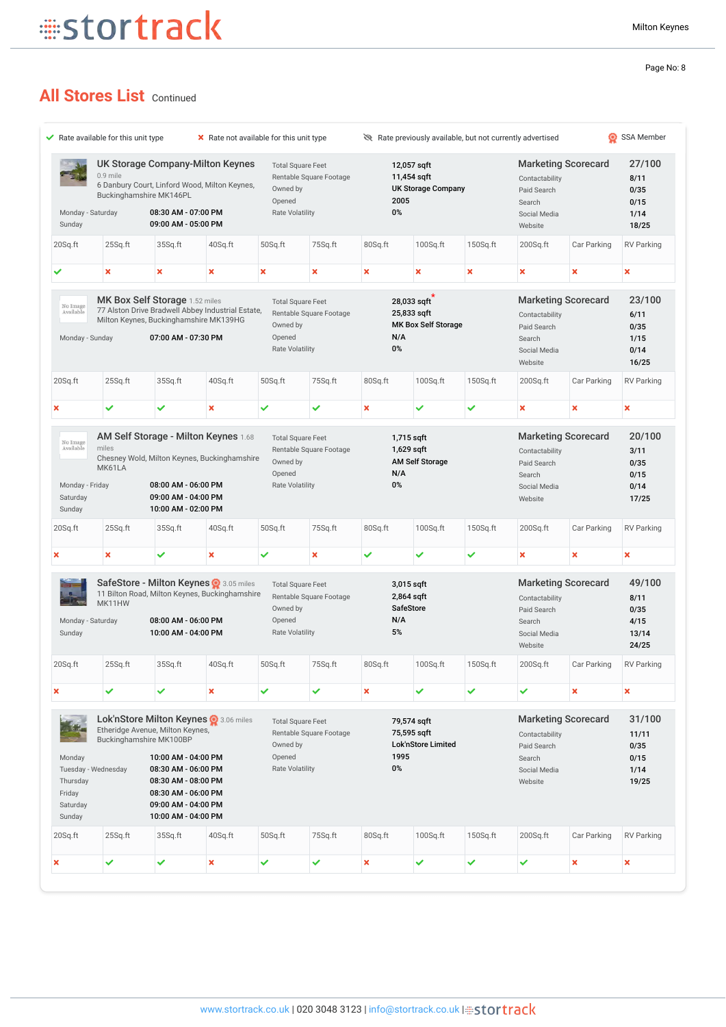## **All Stores List Continued**

| Sunday                                                                             | UK Storage Company-Milton Keynes<br>$0.9$ mile<br>6 Danbury Court, Linford Wood, Milton Keynes,<br>Buckinghamshire MK146PL<br>Monday - Saturday<br>08:30 AM - 07:00 PM<br>09:00 AM - 05:00 PM |                                                                                                                                                                                                       | <b>Total Square Feet</b><br>Rentable Square Footage<br>Owned by<br>Opened<br><b>Rate Volatility</b> |                                                                          | 12,057 sqft<br>11,454 sqft<br><b>UK Storage Company</b><br>2005<br>0% |                                                           |                                                          | <b>Marketing Scorecard</b><br>Contactability<br>Paid Search<br>Search<br>Social Media |                                                                                                  | 27/100<br>8/11<br>0/35<br>0/15<br>1/14 |                                                                                                      |
|------------------------------------------------------------------------------------|-----------------------------------------------------------------------------------------------------------------------------------------------------------------------------------------------|-------------------------------------------------------------------------------------------------------------------------------------------------------------------------------------------------------|-----------------------------------------------------------------------------------------------------|--------------------------------------------------------------------------|-----------------------------------------------------------------------|-----------------------------------------------------------|----------------------------------------------------------|---------------------------------------------------------------------------------------|--------------------------------------------------------------------------------------------------|----------------------------------------|------------------------------------------------------------------------------------------------------|
| 20Sq.ft                                                                            | 25Sq.ft                                                                                                                                                                                       | 35Sq.ft                                                                                                                                                                                               | 40Sq.ft                                                                                             | 50Sq.ft                                                                  | 75Sq.ft                                                               | 80Sq.ft                                                   | $100$ Sq.ft                                              | 150Sq.ft                                                                              | Website<br>$200$ Sq.ft                                                                           | Car Parking                            | 18/25<br><b>RV Parking</b>                                                                           |
|                                                                                    |                                                                                                                                                                                               |                                                                                                                                                                                                       |                                                                                                     |                                                                          |                                                                       |                                                           |                                                          |                                                                                       |                                                                                                  |                                        |                                                                                                      |
|                                                                                    | ×                                                                                                                                                                                             | ×                                                                                                                                                                                                     | ×                                                                                                   | ×                                                                        | ×                                                                     | ×                                                         | ×                                                        | ×                                                                                     | ×                                                                                                | ×                                      | $\boldsymbol{\mathsf{x}}$                                                                            |
| No Image<br>Available<br>Monday - Sunday                                           |                                                                                                                                                                                               | MK Box Self Storage 1.52 miles<br>Milton Keynes, Buckinghamshire MK139HG<br>07:00 AM - 07:30 PM                                                                                                       | 77 Alston Drive Bradwell Abbey Industrial Estate,                                                   | <b>Total Square Feet</b><br>Owned by<br>Opened<br><b>Rate Volatility</b> | Rentable Square Footage                                               | N/A<br>0%                                                 | 28,033 sqft<br>25,833 sqft<br><b>MK Box Self Storage</b> |                                                                                       | <b>Marketing Scorecard</b><br>Contactability<br>Paid Search<br>Search<br>Social Media<br>Website |                                        | 23/100<br>6/11<br>0/35<br>1/15<br>0/14<br>16/25                                                      |
| 20Sq.ft                                                                            | 25Sq.ft                                                                                                                                                                                       | 35Sq.ft                                                                                                                                                                                               | 40Sq.ft                                                                                             | 50Sq.ft                                                                  | 75Sq.ft                                                               | 80Sq.ft                                                   | $100$ Sq.ft                                              | 150Sq.ft                                                                              | $200$ Sq.ft                                                                                      | Car Parking                            | <b>RV Parking</b>                                                                                    |
| ×                                                                                  | ✓                                                                                                                                                                                             | ✓                                                                                                                                                                                                     | ×                                                                                                   | ✓                                                                        | ✓                                                                     | ×                                                         | ✓                                                        | ✓                                                                                     | $\boldsymbol{\mathsf{x}}$                                                                        | ×                                      | $\boldsymbol{\mathsf{x}}$                                                                            |
| No Image<br>Available                                                              | miles                                                                                                                                                                                         |                                                                                                                                                                                                       | AM Self Storage - Milton Keynes 1.68<br>Chesney Wold, Milton Keynes, Buckinghamshire                | <b>Total Square Feet</b><br>Owned by                                     | Rentable Square Footage                                               | 1,715 sqft<br>1,629 sqft                                  | <b>AM Self Storage</b>                                   |                                                                                       | <b>Marketing Scorecard</b><br>Contactability<br>Paid Search                                      |                                        | 20/100<br>3/11<br>0/35                                                                               |
| Monday - Friday<br>Saturday<br>Sunday                                              | MK61LA                                                                                                                                                                                        | 08:00 AM - 06:00 PM<br>09:00 AM - 04:00 PM<br>10:00 AM - 02:00 PM                                                                                                                                     |                                                                                                     | Opened<br><b>Rate Volatility</b>                                         |                                                                       | N/A<br>0%                                                 |                                                          |                                                                                       | Search<br>Social Media<br>Website                                                                |                                        | 0/15<br>0/14<br>17/25                                                                                |
|                                                                                    | 25Sq.ft                                                                                                                                                                                       | 35Sq.ft                                                                                                                                                                                               | 40Sq.ft                                                                                             | 50Sq.ft                                                                  | 75Sq.ft                                                               | 80Sq.ft                                                   | $100$ Sq.ft                                              | 150Sq.ft                                                                              | $200$ Sq.ft                                                                                      | Car Parking                            |                                                                                                      |
|                                                                                    | ×                                                                                                                                                                                             | ✓                                                                                                                                                                                                     | ×                                                                                                   | ✓                                                                        | $\boldsymbol{\mathsf{x}}$                                             | ✓                                                         | ✓                                                        | ✓                                                                                     | $\boldsymbol{\mathsf{x}}$                                                                        | ×                                      | ×                                                                                                    |
| Sunday                                                                             | MK11HW<br>Monday - Saturday                                                                                                                                                                   | 08:00 AM - 06:00 PM<br>10:00 AM - 04:00 PM                                                                                                                                                            | SafeStore - Milton Keynes @ 3.05 miles<br>11 Bilton Road, Milton Keynes, Buckinghamshire            | <b>Total Square Feet</b><br>Owned by<br>Opened<br><b>Rate Volatility</b> | Rentable Square Footage                                               | 3,015 sqft<br>2,864 sqft<br><b>SafeStore</b><br>N/A<br>5% |                                                          |                                                                                       | <b>Marketing Scorecard</b><br>Contactability<br>Paid Search<br>Search<br>Social Media<br>Website |                                        | 8/11<br>0/35<br>4/15<br>13/14<br>24/25                                                               |
|                                                                                    | 25Sq.ft                                                                                                                                                                                       | 35Sq.ft                                                                                                                                                                                               | 40Sq.ft                                                                                             | 50Sq.ft                                                                  | 75Sq.ft                                                               | 80Sq.ft                                                   | $100$ Sq.ft                                              | 150Sq.ft                                                                              | $200$ Sq.ft                                                                                      | Car Parking                            |                                                                                                      |
|                                                                                    | ✓                                                                                                                                                                                             | ✓                                                                                                                                                                                                     | ×                                                                                                   | ✓                                                                        | ✓                                                                     | ×                                                         | ✓                                                        | ✓                                                                                     | ✓                                                                                                | ×                                      | $\pmb{\times}$                                                                                       |
| 20Sq.ft<br>×<br>20Sq.ft<br>×<br>Monday<br>Thursday<br>Friday<br>Saturday<br>Sunday | Tuesday - Wednesday                                                                                                                                                                           | Etheridge Avenue, Milton Keynes,<br>Buckinghamshire MK100BP<br>10:00 AM - 04:00 PM<br>08:30 AM - 06:00 PM<br>08:30 AM - 08:00 PM<br>08:30 AM - 06:00 PM<br>09:00 AM - 04:00 PM<br>10:00 AM - 04:00 PM | Lok'nStore Milton Keynes 2 3.06 miles                                                               | <b>Total Square Feet</b><br>Owned by<br>Opened<br>Rate Volatility        | Rentable Square Footage                                               | 1995<br>0%                                                | 79,574 sqft<br>75,595 sqft<br>Lok'nStore Limited         |                                                                                       | <b>Marketing Scorecard</b><br>Contactability<br>Paid Search<br>Search<br>Social Media<br>Website |                                        | <b>RV Parking</b><br>49/100<br><b>RV Parking</b><br>31/100<br>11/11<br>0/35<br>0/15<br>1/14<br>19/25 |
| 20Sq.ft                                                                            | 25Sq.ft                                                                                                                                                                                       | 35Sq.ft                                                                                                                                                                                               | 40Sq.ft                                                                                             | 50Sq.ft                                                                  | 75Sq.ft                                                               | 80Sq.ft                                                   | $100$ Sq.ft                                              | 150Sq.ft                                                                              | 200Sq.ft                                                                                         | Car Parking                            | <b>RV Parking</b>                                                                                    |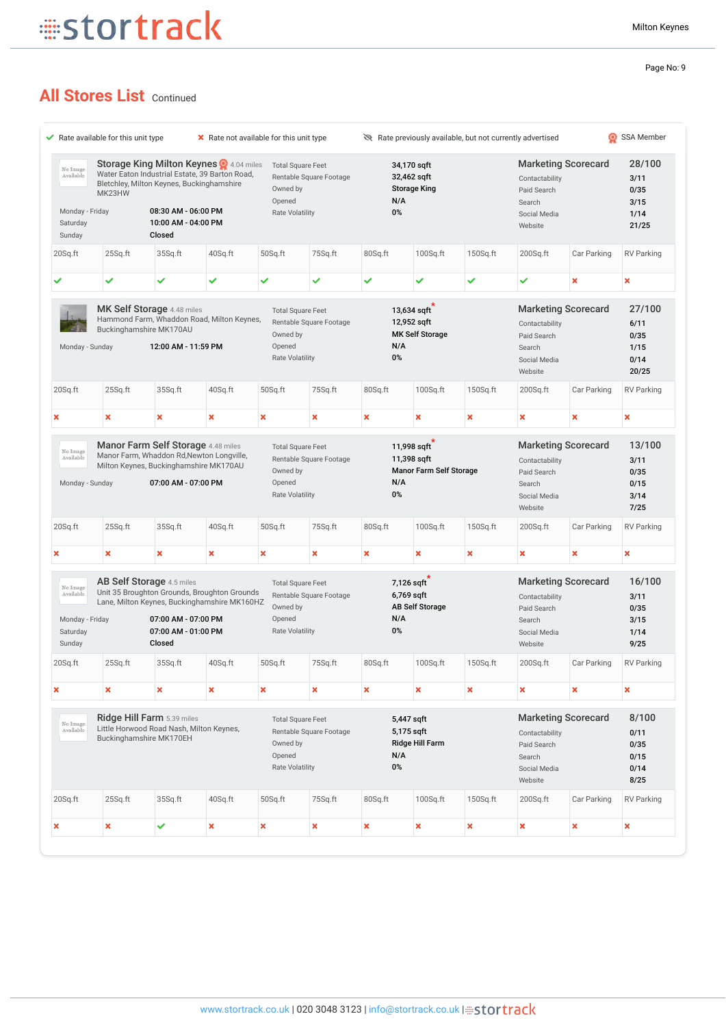## **All Stores List Continued**

|                                                                |                           | $\blacktriangleright$ Rate available for this unit type                                                                                                                                       |         | X Rate not available for this unit type                                  |                           | Rate previously available, but not currently advertised |                                                      |          |                                                                                                  |                            |                                                 |  |
|----------------------------------------------------------------|---------------------------|-----------------------------------------------------------------------------------------------------------------------------------------------------------------------------------------------|---------|--------------------------------------------------------------------------|---------------------------|---------------------------------------------------------|------------------------------------------------------|----------|--------------------------------------------------------------------------------------------------|----------------------------|-------------------------------------------------|--|
| No Image<br>Available<br>Monday - Friday<br>Saturday<br>Sunday | MK23HW                    | Storage King Milton Keynes 24.04 miles<br>Water Eaton Industrial Estate, 39 Barton Road,<br>Bletchley, Milton Keynes, Buckinghamshire<br>08:30 AM - 06:00 PM<br>10:00 AM - 04:00 PM<br>Closed |         | <b>Total Square Feet</b><br>Owned by<br>Opened<br><b>Rate Volatility</b> | Rentable Square Footage   | N/A<br>0%                                               | 34,170 sqft<br>32,462 sqft<br><b>Storage King</b>    |          | <b>Marketing Scorecard</b><br>Contactability<br>Paid Search<br>Search<br>Social Media<br>Website |                            | 28/100<br>3/11<br>0/35<br>3/15<br>1/14<br>21/25 |  |
| 20Sq.ft                                                        | 25Sq.ft                   | 35Sq.ft                                                                                                                                                                                       | 40Sq.ft | 50Sq.ft                                                                  | 75Sq.ft                   | 80Sq.ft                                                 | 100Sq.ft                                             | 150Sq.ft | 200Sq.ft                                                                                         | Car Parking                | <b>RV Parking</b>                               |  |
|                                                                | ✓                         | ✓                                                                                                                                                                                             | ✓       | ✓                                                                        | ✓                         | ✓                                                       | ✓                                                    | ✓        | ✓                                                                                                | ×                          | $\boldsymbol{\mathsf{x}}$                       |  |
| Monday - Sunday                                                |                           | MK Self Storage 4.48 miles<br>Hammond Farm, Whaddon Road, Milton Keynes,<br>Buckinghamshire MK170AU<br>12:00 AM - 11:59 PM                                                                    |         | <b>Total Square Feet</b><br>Owned by<br>Opened<br><b>Rate Volatility</b> | Rentable Square Footage   | N/A<br>0%                                               | 13,634 sqft<br>12,952 sqft<br><b>MK Self Storage</b> |          | Contactability<br>Paid Search<br>Search<br>Social Media<br>Website                               | <b>Marketing Scorecard</b> | 27/100<br>6/11<br>0/35<br>1/15<br>0/14<br>20/25 |  |
| 20Sq.ft                                                        | 25Sq.ft                   | 35Sq.ft                                                                                                                                                                                       | 40Sq.ft | 50Sq.ft                                                                  | 75Sq.ft                   | 80Sq.ft                                                 | 100Sq.ft                                             | 150Sq.ft | 200Sq.ft                                                                                         | Car Parking                | <b>RV Parking</b>                               |  |
| ×                                                              | ×                         | ×                                                                                                                                                                                             | ×       | ×                                                                        | ×                         | ×                                                       | ×                                                    | ×        | ×                                                                                                | ×                          | ×                                               |  |
| No Image<br>Available<br>Monday - Sunday                       |                           | Manor Farm, Whaddon Rd, Newton Longville,<br>Milton Keynes, Buckinghamshire MK170AU<br>07:00 AM - 07:00 PM                                                                                    |         | Owned by<br>Opened                                                       | Rentable Square Footage   | N/A                                                     | 11,398 sqft<br>Manor Farm Self Storage               |          | Contactability<br>Paid Search<br>Search                                                          | <b>Marketing Scorecard</b> | 3/11<br>0/35                                    |  |
|                                                                |                           |                                                                                                                                                                                               |         | <b>Rate Volatility</b>                                                   |                           | 0%                                                      |                                                      |          | Social Media<br>Website                                                                          |                            | 0/15<br>3/14<br>7/25                            |  |
|                                                                | 25Sq.ft                   | 35Sq.ft                                                                                                                                                                                       | 40Sq.ft | 50Sq.ft                                                                  | 75Sq.ft                   | 80Sq.ft                                                 | 100Sq.ft                                             | 150Sq.ft | $200$ Sq.ft                                                                                      | Car Parking                | <b>RV Parking</b>                               |  |
|                                                                | $\boldsymbol{\mathsf{x}}$ | ×                                                                                                                                                                                             | ×       | ×                                                                        | $\boldsymbol{\mathsf{x}}$ | $\boldsymbol{\mathsf{x}}$                               | ×                                                    | ×        | ×                                                                                                | ×                          | $\boldsymbol{\mathsf{x}}$                       |  |
| No Image<br>Available<br>Monday - Friday<br>Saturday<br>Sunday |                           | <b>AB Self Storage</b> 4.5 miles<br>Unit 35 Broughton Grounds, Broughton Grounds<br>Lane, Milton Keynes, Buckinghamshire MK160HZ<br>07:00 AM - 07:00 PM<br>07:00 AM - 01:00 PM<br>Closed      |         | <b>Total Square Feet</b><br>Owned by<br>Opened<br>Rate Volatility        | Rentable Square Footage   | N/A<br>0%                                               | 7,126 sqft<br>6,769 sqft<br><b>AB Self Storage</b>   |          | Contactability<br>Paid Search<br>Search<br>Social Media<br>Website                               | <b>Marketing Scorecard</b> | 16/100<br>3/11<br>0/35<br>3/15<br>1/14<br>9/25  |  |
|                                                                | 25Sq.ft                   | 35Sq.ft                                                                                                                                                                                       | 40Sq.ft | 50Sq.ft                                                                  | 75Sq.ft                   | 80Sq.ft                                                 | $100$ Sq.ft                                          | 150Sq.ft | $200$ Sq.ft                                                                                      | Car Parking                | <b>RV Parking</b>                               |  |
|                                                                | $\boldsymbol{\mathsf{x}}$ | ×                                                                                                                                                                                             | ×       | ×                                                                        | $\boldsymbol{\mathsf{x}}$ | ×                                                       | ×                                                    | ×        | $\boldsymbol{\mathsf{x}}$                                                                        | ×                          | ×                                               |  |
| No Image<br>Available                                          |                           | Ridge Hill Farm 5.39 miles<br>Little Horwood Road Nash, Milton Keynes,<br>Buckinghamshire MK170EH                                                                                             |         | <b>Total Square Feet</b><br>Owned by<br>Opened<br><b>Rate Volatility</b> | Rentable Square Footage   | N/A<br>0%                                               | 5,447 sqft<br>5,175 sqft<br>Ridge Hill Farm          |          | Contactability<br>Paid Search<br>Search<br>Social Media<br>Website                               | <b>Marketing Scorecard</b> | 8/100<br>0/11<br>0/35<br>0/15<br>0/14<br>8/25   |  |
| 20Sq.ft<br>×<br>20Sq.ft<br>×<br>20Sq.ft                        | 25Sq.ft                   | 35Sq.ft                                                                                                                                                                                       | 40Sq.ft | 50Sq.ft                                                                  | 75Sq.ft                   | 80Sq.ft                                                 | 100Sq.ft                                             | 150Sq.ft | 200Sq.ft                                                                                         | Car Parking                | <b>RV Parking</b>                               |  |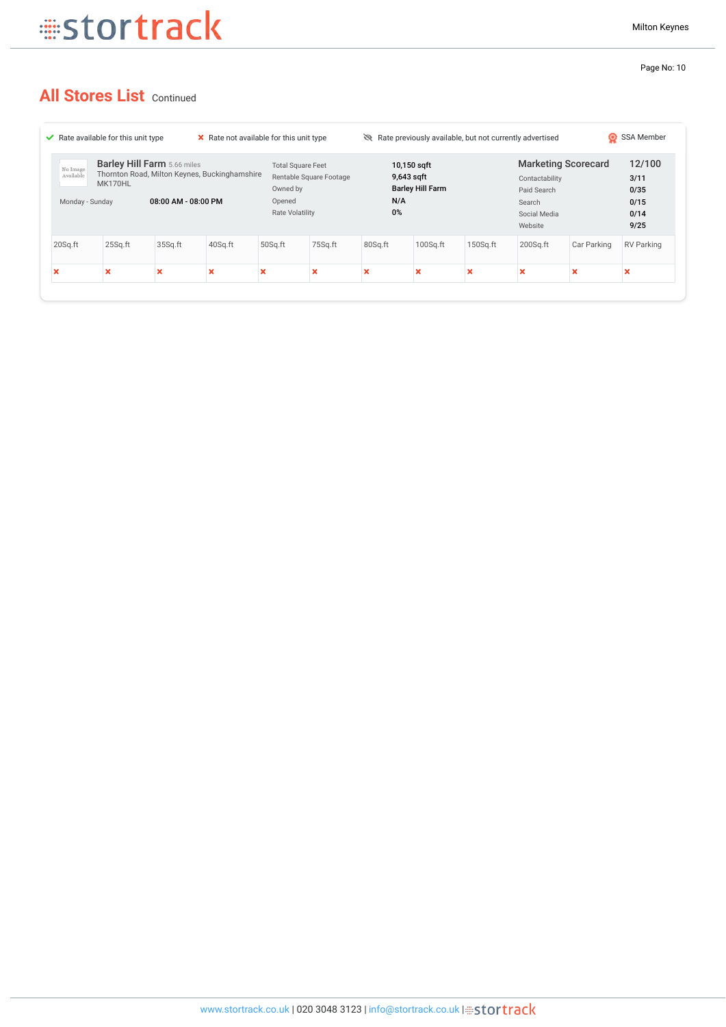## **All Stores List Continued**

| X Rate not available for this unit type<br>$\blacktriangleright$ Rate available for this unit type |                                                                                                                                          |         |         |                                                                                           |         |                                                                   | Rate previously available, but not currently advertised |                                                                                                  |             |                                                | SSA Member<br>Ю           |  |
|----------------------------------------------------------------------------------------------------|------------------------------------------------------------------------------------------------------------------------------------------|---------|---------|-------------------------------------------------------------------------------------------|---------|-------------------------------------------------------------------|---------------------------------------------------------|--------------------------------------------------------------------------------------------------|-------------|------------------------------------------------|---------------------------|--|
| No Image<br>Available                                                                              | <b>Barley Hill Farm</b> 5.66 miles<br>Thornton Road, Milton Keynes, Buckinghamshire<br>MK170HL<br>08:00 AM - 08:00 PM<br>Monday - Sunday |         | Opened  | <b>Total Square Feet</b><br>Rentable Square Footage<br>Owned by<br><b>Rate Volatility</b> |         | 10,150 sqft<br>9,643 sqft<br><b>Barley Hill Farm</b><br>N/A<br>0% |                                                         | <b>Marketing Scorecard</b><br>Contactability<br>Paid Search<br>Search<br>Social Media<br>Website |             | 12/100<br>3/11<br>0/35<br>0/15<br>0/14<br>9/25 |                           |  |
| 20Sq.ft                                                                                            | 25Sq.ft                                                                                                                                  | 35Sq.ft | 40Sq.ft | 50Sq.ft                                                                                   | 75Sq.ft | 80Sq.ft                                                           | $100$ Sq.ft                                             | $150$ Sq.ft                                                                                      | $200$ Sq.ft | Car Parking                                    | RV Parking                |  |
| $\boldsymbol{\mathsf{x}}$                                                                          | ж                                                                                                                                        |         |         | v<br>ж                                                                                    | ×       | ×                                                                 | $\boldsymbol{\mathsf{x}}$                               | w                                                                                                | ×           | $\boldsymbol{\mathsf{x}}$                      | $\boldsymbol{\mathsf{x}}$ |  |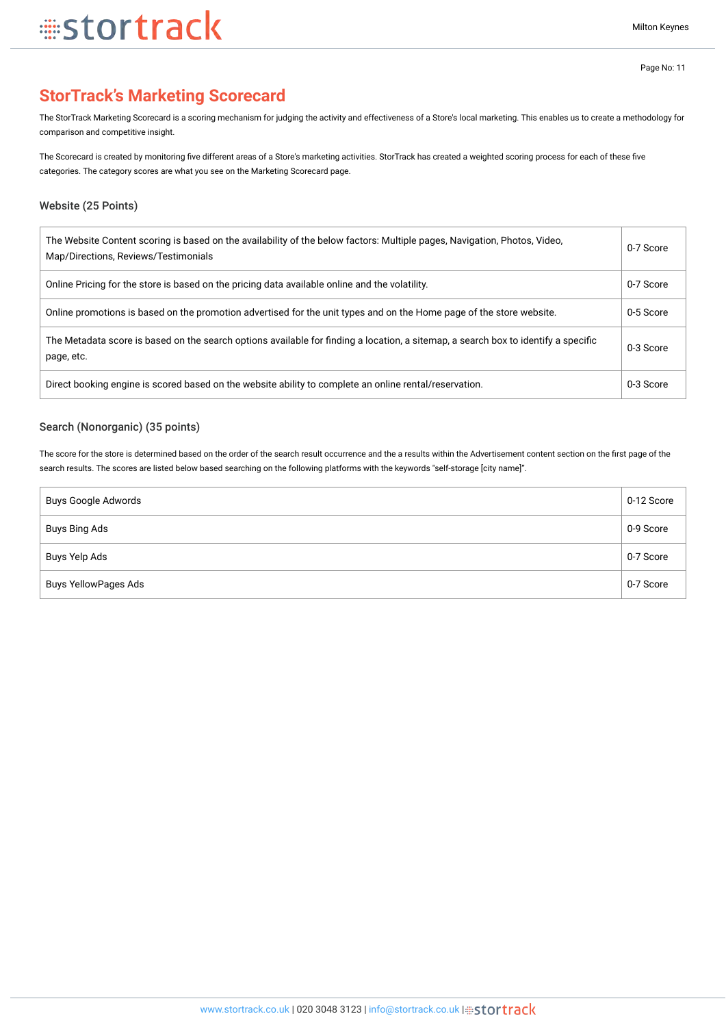## **StorTrack's Marketing Scorecard**

The StorTrack Marketing Scorecard is a scoring mechanism for judging the activity and effectiveness of a Store's local marketing. This enables us to create a methodology for comparison and competitive insight.

The Scorecard is created by monitoring five different areas of a Store's marketing activities. StorTrack has created a weighted scoring process for each of these five categories. The category scores are what you see on the Marketing Scorecard page.

#### Website (25 Points)

| The Website Content scoring is based on the availability of the below factors: Multiple pages, Navigation, Photos, Video,<br>Map/Directions, Reviews/Testimonials | 0-7 Score |
|-------------------------------------------------------------------------------------------------------------------------------------------------------------------|-----------|
| Online Pricing for the store is based on the pricing data available online and the volatility.                                                                    | 0-7 Score |
| Online promotions is based on the promotion advertised for the unit types and on the Home page of the store website.                                              | 0-5 Score |
| The Metadata score is based on the search options available for finding a location, a sitemap, a search box to identify a specific<br>page, etc.                  | 0-3 Score |
| Direct booking engine is scored based on the website ability to complete an online rental/reservation.                                                            | 0-3 Score |

#### Search (Nonorganic) (35 points)

The score for the store is determined based on the order of the search result occurrence and the a results within the Advertisement content section on the first page of the search results. The scores are listed below based searching on the following platforms with the keywords "self-storage [city name]".

| Buys Google Adwords  | 0-12 Score |
|----------------------|------------|
| Buys Bing Ads        | 0-9 Score  |
| Buys Yelp Ads        | 0-7 Score  |
| Buys YellowPages Ads | 0-7 Score  |